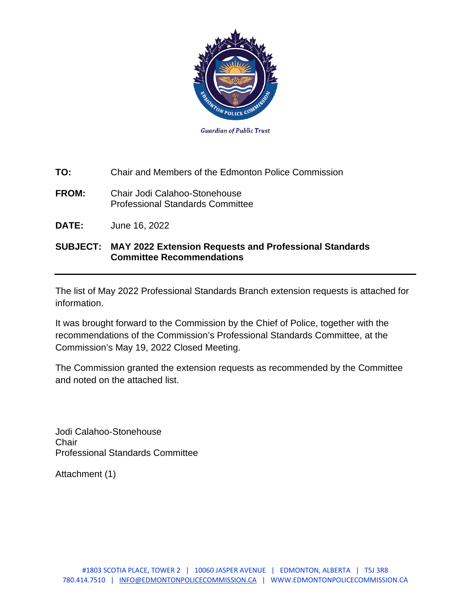

**TO:** Chair and Members of the Edmonton Police Commission

- **FROM:** Chair Jodi Calahoo-Stonehouse Professional Standards Committee
- **DATE:** June 16, 2022

## **SUBJECT: MAY 2022 Extension Requests and Professional Standards Committee Recommendations**

The list of May 2022 Professional Standards Branch extension requests is attached for information.

It was brought forward to the Commission by the Chief of Police, together with the recommendations of the Commission's Professional Standards Committee, at the Commission's May 19, 2022 Closed Meeting.

The Commission granted the extension requests as recommended by the Committee and noted on the attached list.

Jodi Calahoo-Stonehouse **Chair** Professional Standards Committee

Attachment (1)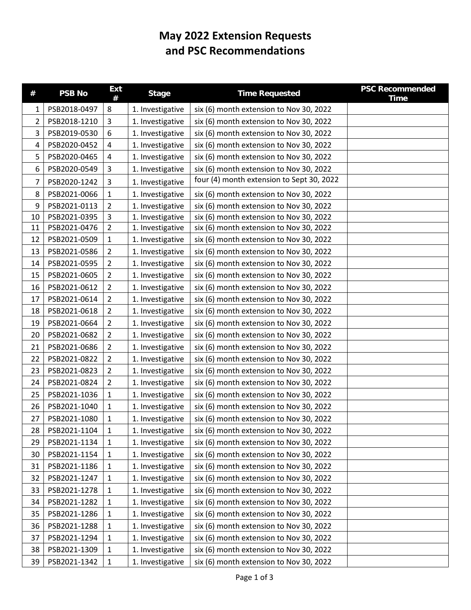## **May 2022 Extension Requests and PSC Recommendations**

| #  | <b>PSB No</b> | <b>Ext</b><br># | <b>Stage</b>     | <b>Time Requested</b>                     | <b>PSC Recommended</b><br><b>Time</b> |
|----|---------------|-----------------|------------------|-------------------------------------------|---------------------------------------|
| 1  | PSB2018-0497  | 8               | 1. Investigative | six (6) month extension to Nov 30, 2022   |                                       |
| 2  | PSB2018-1210  | 3               | 1. Investigative | six (6) month extension to Nov 30, 2022   |                                       |
| 3  | PSB2019-0530  | 6               | 1. Investigative | six (6) month extension to Nov 30, 2022   |                                       |
| 4  | PSB2020-0452  | 4               | 1. Investigative | six (6) month extension to Nov 30, 2022   |                                       |
| 5  | PSB2020-0465  | 4               | 1. Investigative | six (6) month extension to Nov 30, 2022   |                                       |
| 6  | PSB2020-0549  | 3               | 1. Investigative | six (6) month extension to Nov 30, 2022   |                                       |
| 7  | PSB2020-1242  | 3               | 1. Investigative | four (4) month extension to Sept 30, 2022 |                                       |
| 8  | PSB2021-0066  | $\mathbf{1}$    | 1. Investigative | six (6) month extension to Nov 30, 2022   |                                       |
| 9  | PSB2021-0113  | $\overline{2}$  | 1. Investigative | six (6) month extension to Nov 30, 2022   |                                       |
| 10 | PSB2021-0395  | 3               | 1. Investigative | six (6) month extension to Nov 30, 2022   |                                       |
| 11 | PSB2021-0476  | 2               | 1. Investigative | six (6) month extension to Nov 30, 2022   |                                       |
| 12 | PSB2021-0509  | 1               | 1. Investigative | six (6) month extension to Nov 30, 2022   |                                       |
| 13 | PSB2021-0586  | $\overline{2}$  | 1. Investigative | six (6) month extension to Nov 30, 2022   |                                       |
| 14 | PSB2021-0595  | $\overline{2}$  | 1. Investigative | six (6) month extension to Nov 30, 2022   |                                       |
| 15 | PSB2021-0605  | 2               | 1. Investigative | six (6) month extension to Nov 30, 2022   |                                       |
| 16 | PSB2021-0612  | $\overline{2}$  | 1. Investigative | six (6) month extension to Nov 30, 2022   |                                       |
| 17 | PSB2021-0614  | $\overline{2}$  | 1. Investigative | six (6) month extension to Nov 30, 2022   |                                       |
| 18 | PSB2021-0618  | $\overline{2}$  | 1. Investigative | six (6) month extension to Nov 30, 2022   |                                       |
| 19 | PSB2021-0664  | $\overline{2}$  | 1. Investigative | six (6) month extension to Nov 30, 2022   |                                       |
| 20 | PSB2021-0682  | 2               | 1. Investigative | six (6) month extension to Nov 30, 2022   |                                       |
| 21 | PSB2021-0686  | $\overline{2}$  | 1. Investigative | six (6) month extension to Nov 30, 2022   |                                       |
| 22 | PSB2021-0822  | 2               | 1. Investigative | six (6) month extension to Nov 30, 2022   |                                       |
| 23 | PSB2021-0823  | $\overline{2}$  | 1. Investigative | six (6) month extension to Nov 30, 2022   |                                       |
| 24 | PSB2021-0824  | $\overline{2}$  | 1. Investigative | six (6) month extension to Nov 30, 2022   |                                       |
| 25 | PSB2021-1036  | 1               | 1. Investigative | six (6) month extension to Nov 30, 2022   |                                       |
| 26 | PSB2021-1040  | $\mathbf{1}$    | 1. Investigative | six (6) month extension to Nov 30, 2022   |                                       |
| 27 | PSB2021-1080  | 1               | 1. Investigative | six (6) month extension to Nov 30, 2022   |                                       |
| 28 | PSB2021-1104  | $\mathbf{1}$    | 1. Investigative | six (6) month extension to Nov 30, 2022   |                                       |
| 29 | PSB2021-1134  | $\mathbf{1}$    | 1. Investigative | six (6) month extension to Nov 30, 2022   |                                       |
| 30 | PSB2021-1154  | $\mathbf{1}$    | 1. Investigative | six (6) month extension to Nov 30, 2022   |                                       |
| 31 | PSB2021-1186  | $\mathbf{1}$    | 1. Investigative | six (6) month extension to Nov 30, 2022   |                                       |
| 32 | PSB2021-1247  | $\mathbf{1}$    | 1. Investigative | six (6) month extension to Nov 30, 2022   |                                       |
| 33 | PSB2021-1278  | $\mathbf{1}$    | 1. Investigative | six (6) month extension to Nov 30, 2022   |                                       |
| 34 | PSB2021-1282  | $\mathbf{1}$    | 1. Investigative | six (6) month extension to Nov 30, 2022   |                                       |
| 35 | PSB2021-1286  | $\mathbf{1}$    | 1. Investigative | six (6) month extension to Nov 30, 2022   |                                       |
| 36 | PSB2021-1288  | $\mathbf{1}$    | 1. Investigative | six (6) month extension to Nov 30, 2022   |                                       |
| 37 | PSB2021-1294  | 1               | 1. Investigative | six (6) month extension to Nov 30, 2022   |                                       |
| 38 | PSB2021-1309  | $\mathbf{1}$    | 1. Investigative | six (6) month extension to Nov 30, 2022   |                                       |
| 39 | PSB2021-1342  | $\mathbf{1}$    | 1. Investigative | six (6) month extension to Nov 30, 2022   |                                       |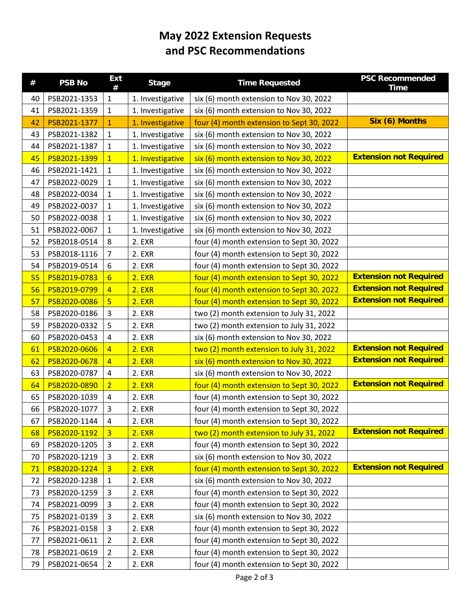## **May 2022 Extension Requests and PSC Recommendations**

| $^{\#}$ | <b>PSB No</b> | <b>Ext</b><br># | <b>Stage</b>     | <b>Time Requested</b>                     | <b>PSC Recommended</b><br><b>Time</b> |
|---------|---------------|-----------------|------------------|-------------------------------------------|---------------------------------------|
| 40      | PSB2021-1353  | $\mathbf{1}$    | 1. Investigative | six (6) month extension to Nov 30, 2022   |                                       |
| 41      | PSB2021-1359  | $\mathbf{1}$    | 1. Investigative | six (6) month extension to Nov 30, 2022   |                                       |
| 42      | PSB2021-1377  | $\mathbf{1}$    | 1. Investigative | four (4) month extension to Sept 30, 2022 | Six (6) Months                        |
| 43      | PSB2021-1382  | $\mathbf{1}$    | 1. Investigative | six (6) month extension to Nov 30, 2022   |                                       |
| 44      | PSB2021-1387  | $\mathbf{1}$    | 1. Investigative | six (6) month extension to Nov 30, 2022   |                                       |
| 45      | PSB2021-1399  | $\mathbf{1}$    | 1. Investigative | six (6) month extension to Nov 30, 2022   | <b>Extension not Required</b>         |
| 46      | PSB2021-1421  | $\mathbf{1}$    | 1. Investigative | six (6) month extension to Nov 30, 2022   |                                       |
| 47      | PSB2022-0029  | $\mathbf{1}$    | 1. Investigative | six (6) month extension to Nov 30, 2022   |                                       |
| 48      | PSB2022-0034  | $\mathbf{1}$    | 1. Investigative | six (6) month extension to Nov 30, 2022   |                                       |
| 49      | PSB2022-0037  | $\mathbf{1}$    | 1. Investigative | six (6) month extension to Nov 30, 2022   |                                       |
| 50      | PSB2022-0038  | 1               | 1. Investigative | six (6) month extension to Nov 30, 2022   |                                       |
| 51      | PSB2022-0067  | $\mathbf{1}$    | 1. Investigative | six (6) month extension to Nov 30, 2022   |                                       |
| 52      | PSB2018-0514  | 8               | 2. EXR           | four (4) month extension to Sept 30, 2022 |                                       |
| 53      | PSB2018-1116  | 7               | 2. EXR           | four (4) month extension to Sept 30, 2022 |                                       |
| 54      | PSB2019-0514  | 6               | 2. EXR           | four (4) month extension to Sept 30, 2022 |                                       |
| 55      | PSB2019-0783  | $6\overline{6}$ | 2. EXR           | four (4) month extension to Sept 30, 2022 | <b>Extension not Required</b>         |
| 56      | PSB2019-0799  | $\overline{4}$  | 2. EXR           | four (4) month extension to Sept 30, 2022 | <b>Extension not Required</b>         |
| 57      | PSB2020-0086  | 5               | 2. EXR           | four (4) month extension to Sept 30, 2022 | <b>Extension not Required</b>         |
| 58      | PSB2020-0186  | 3               | 2. EXR           | two (2) month extension to July 31, 2022  |                                       |
| 59      | PSB2020-0332  | 5               | 2. EXR           | two (2) month extension to July 31, 2022  |                                       |
| 60      | PSB2020-0453  | 4               | 2. EXR           | six (6) month extension to Nov 30, 2022   |                                       |
| 61      | PSB2020-0606  | $\overline{4}$  | 2. EXR           | two (2) month extension to July 31, 2022  | <b>Extension not Required</b>         |
| 62      | PSB2020-0678  | $\overline{4}$  | 2. EXR           | six (6) month extension to Nov 30, 2022   | <b>Extension not Required</b>         |
| 63      | PSB2020-0787  | 4               | 2. EXR           | six (6) month extension to Nov 30, 2022   |                                       |
| 64      | PSB2020-0890  | $\overline{2}$  | 2. EXR           | four (4) month extension to Sept 30, 2022 | <b>Extension not Required</b>         |
| 65      | PSB2020-1039  | 4               | 2. EXR           | four (4) month extension to Sept 30, 2022 |                                       |
| 66      | PSB2020-1077  | 3               | 2. EXR           | four (4) month extension to Sept 30, 2022 |                                       |
| 67      | PSB2020-1144  | 4               | 2. EXR           | four (4) month extension to Sept 30, 2022 |                                       |
| 68      | PSB2020-1192  | 3               | 2. EXR           | two (2) month extension to July 31, 2022  | <b>Extension not Required</b>         |
| 69      | PSB2020-1205  | $\mathsf{3}$    | 2. EXR           | four (4) month extension to Sept 30, 2022 |                                       |
| 70      | PSB2020-1219  | 3               | 2. EXR           | six (6) month extension to Nov 30, 2022   |                                       |
| 71      | PSB2020-1224  | $\overline{3}$  | 2. EXR           | four (4) month extension to Sept 30, 2022 | <b>Extension not Required</b>         |
| 72      | PSB2020-1238  | $\mathbf{1}$    | 2. EXR           | six (6) month extension to Nov 30, 2022   |                                       |
| 73      | PSB2020-1259  | 3               | 2. EXR           | four (4) month extension to Sept 30, 2022 |                                       |
| 74      | PSB2021-0099  | 3               | 2. EXR           | four (4) month extension to Sept 30, 2022 |                                       |
| 75      | PSB2021-0139  | 3               | 2. EXR           | six (6) month extension to Nov 30, 2022   |                                       |
| 76      | PSB2021-0158  | 3               | 2. EXR           | four (4) month extension to Sept 30, 2022 |                                       |
| 77      | PSB2021-0611  | $\overline{2}$  | 2. EXR           | four (4) month extension to Sept 30, 2022 |                                       |
| 78      | PSB2021-0619  | $\overline{2}$  | 2. EXR           | four (4) month extension to Sept 30, 2022 |                                       |
| 79      | PSB2021-0654  | $\overline{2}$  | 2. EXR           | four (4) month extension to Sept 30, 2022 |                                       |